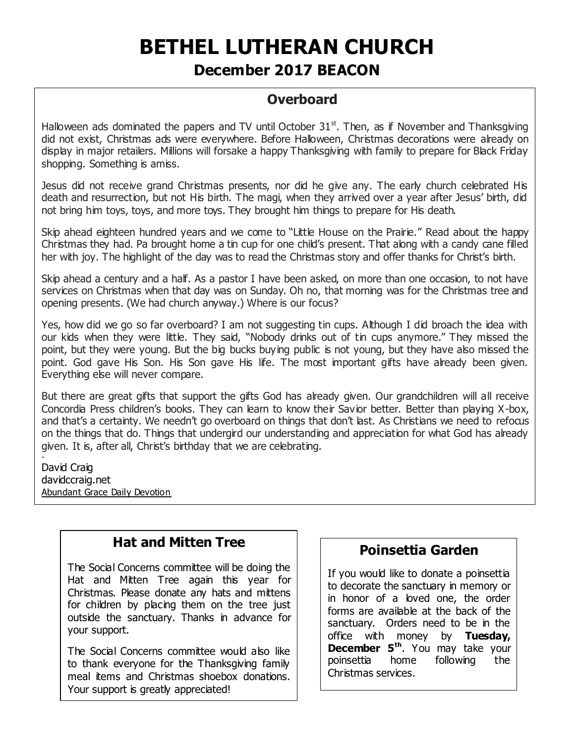# **BETHEL LUTHERAN CHURCH**

# **December 2017 BEACON**

# **Overboard**

Halloween ads dominated the papers and TV until October  $31<sup>st</sup>$ . Then, as if November and Thanksgiving did not exist, Christmas ads were everywhere. Before Halloween, Christmas decorations were already on display in major retailers. Millions will forsake a happy Thanksgiving with family to prepare for Black Friday shopping. Something is amiss.

Jesus did not receive grand Christmas presents, nor did he give any. The early church celebrated His death and resurrection, but not His birth. The magi, when they arrived over a year after Jesus' birth, did not bring him toys, toys, and more toys. They brought him things to prepare for His death.

Skip ahead eighteen hundred years and we come to "Little House on the Prairie." Read about the happy Christmas they had. Pa brought home a tin cup for one child's present. That along with a candy cane filled her with joy. The highlight of the day was to read the Christmas story and offer thanks for Christ's birth.

Skip ahead a century and a half. As a pastor I have been asked, on more than one occasion, to not have services on Christmas when that day was on Sunday. Oh no, that morning was for the Christmas tree and opening presents. (We had church anyway.) Where is our focus?

Yes, how did we go so far overboard? I am not suggesting tin cups. Although I did broach the idea with our kids when they were little. They said, "Nobody drinks out of tin cups anymore." They missed the point, but they were young. But the big bucks buying public is not young, but they have also missed the point. God gave His Son. His Son gave His life. The most important gifts have already been given. Everything else will never compare.

But there are great gifts that support the gifts God has already given. Our grandchildren will all receive Concordia Press children's books. They can learn to know their Savior better. Better than playing X-box, and that's a certainty. We needn't go overboard on things that don't last. As Christians we need to refocus on the things that do. Things that undergird our understanding and appreciation for what God has already given. It is, after all, Christ's birthday that we are celebrating.

David Craig davidccraig.net Abundant Grace Daily Devotion

-

## **Hat and Mitten Tree**

The Social Concerns committee will be doing the Hat and Mitten Tree again this year for Christmas. Please donate any hats and mittens for children by placing them on the tree just outside the sanctuary. Thanks in advance for your support.

The Social Concerns committee would also like to thank everyone for the Thanksgiving family meal items and Christmas shoebox donations. Your support is greatly appreciated!

## **Poinsettia Garden**

If you would like to donate a poinsettia to decorate the sanctuary in memory or in honor of a loved one, the order forms are available at the back of the sanctuary. Orders need to be in the office with money by **Tuesday, December 5th** . You may take your poinsettia home following the Christmas services.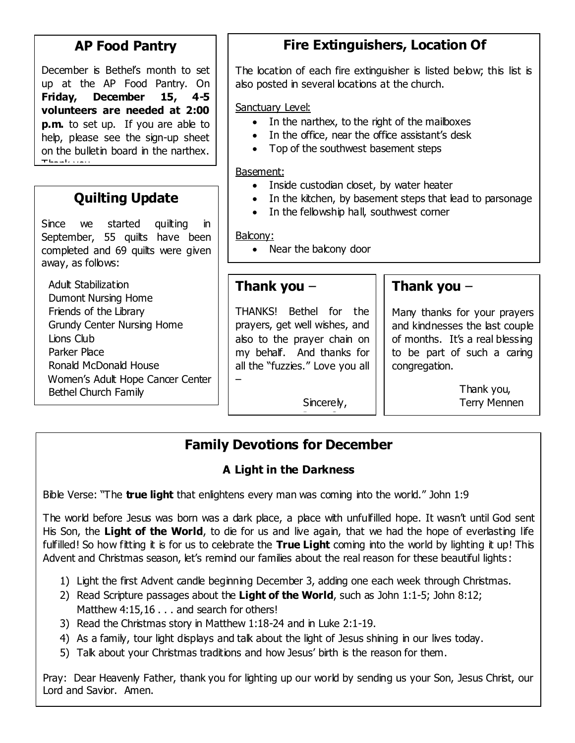# **AP Food Pantry**

December is Bethel's month to set up at the AP Food Pantry. On **Friday, December 15, 4-5 volunteers are needed at 2:00 p.m.** to set up. If you are able to help, please see the sign-up sheet on the bulletin board in the narthex. Thank you.

# **Quilting Update**

Since we started quilting in September, 55 quilts have been completed and 69 quilts were given away, as follows:

 Adult Stabilization Dumont Nursing Home Friends of the Library Grundy Center Nursing Home Lions Club Parker Place Ronald McDonald House Women's Adult Hope Cancer Center Bethel Church Family

# **Fire Extinguishers, Location Of**

The location of each fire extinguisher is listed below; this list is also posted in several locations at the church.

Sanctuary Level:

- In the narthex, to the right of the mailboxes
- In the office, near the office assistant's desk
- Top of the southwest basement steps

Basement:

- Inside custodian closet, by water heater
- In the kitchen, by basement steps that lead to parsonage
- In the fellowship hall, southwest corner

Balcony:

• Near the balcony door

### **Thank you** –

THANKS! Bethel for the prayers, get well wishes, and also to the prayer chain on my behalf. And thanks for all the "fuzzies." Love you all

> Sincerely, <u>- Senne Senne Senne Senne Senne Senne Senne Senne Senne Senne Senne Senne Senne Senne Senne Senne Senne Senne </u>

# **Thank you** –

Many thanks for your prayers and kindnesses the last couple of months. It's a real blessing to be part of such a caring congregation.

> Thank you, Terry Mennen

# **Family Devotions for December**

## **A Light in the Darkness**

Bible Verse: "The **true light** that enlightens every man was coming into the world." John 1:9

–

The world before Jesus was born was a dark place, a place with unfulfilled hope. It wasn't until God sent His Son, the Light of the World, to die for us and live again, that we had the hope of everlasting life fulfilled! So how fitting it is for us to celebrate the **True Light** coming into the world by lighting it up! This Advent and Christmas season, let's remind our families about the real reason for these beautiful lights :

- 1) Light the first Advent candle beginning December 3, adding one each week through Christmas.
- 2) Read Scripture passages about the **Light of the World**, such as John 1:1-5; John 8:12; Matthew 4:15,16 . . . and search for others!
- 3) Read the Christmas story in Matthew 1:18-24 and in Luke 2:1-19.
- 4) As a family, tour light displays and talk about the light of Jesus shining in our lives today.
- 5) Talk about your Christmas traditions and how Jesus' birth is the reason for them.

Pray: Dear Heavenly Father, thank you for lighting up our world by sending us your Son, Jesus Christ, our Lord and Savior. Amen.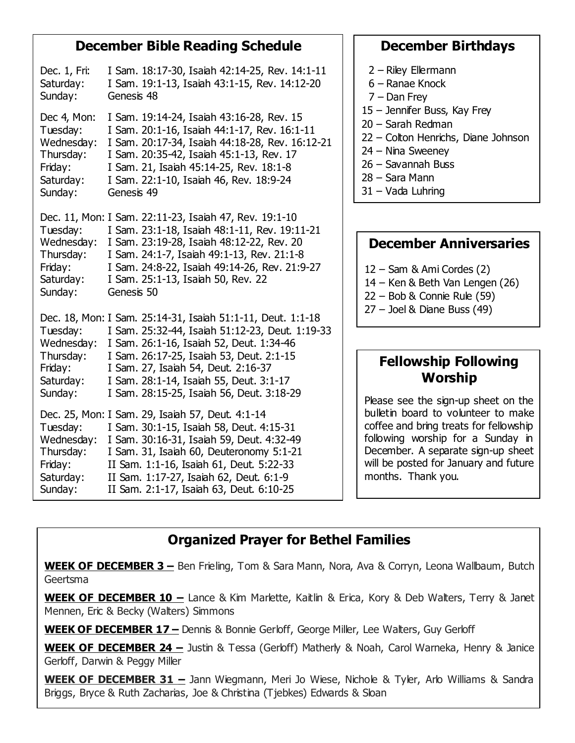#### **December Bible Reading Schedule**

| Dec. 1, Fri:<br>Saturday:<br>Sunday:                                                  | I Sam. 18:17-30, Isaiah 42:14-25, Rev. 14:1-11<br>I Sam. 19:1-13, Isaiah 43:1-15, Rev. 14:12-20<br>Genesis 48                                                                                                                                                                                                                         |
|---------------------------------------------------------------------------------------|---------------------------------------------------------------------------------------------------------------------------------------------------------------------------------------------------------------------------------------------------------------------------------------------------------------------------------------|
| Dec 4, Mon:<br>Tuesday:<br>Wednesday:<br>Thursday:<br>Friday:<br>Saturday:<br>Sunday: | I Sam. 19:14-24, Isaiah 43:16-28, Rev. 15<br>I Sam. 20:1-16, Isaiah 44:1-17, Rev. 16:1-11<br>I Sam. 20:17-34, Isaiah 44:18-28, Rev. 16:12-21<br>I Sam. 20:35-42, Isaiah 45:1-13, Rev. 17<br>I Sam. 21, Isaiah 45:14-25, Rev. 18:1-8<br>I Sam. 22:1-10, Isaiah 46, Rev. 18:9-24<br>Genesis 49                                          |
| Tuesday:<br>Wednesday:<br>Thursday:<br>Friday:<br>Saturday:<br>Sunday:                | Dec. 11, Mon: I Sam. 22:11-23, Isaiah 47, Rev. 19:1-10<br>I Sam. 23:1-18, Isaiah 48:1-11, Rev. 19:11-21<br>I Sam. 23:19-28, Isaiah 48:12-22, Rev. 20<br>I Sam. 24:1-7, Isaiah 49:1-13, Rev. 21:1-8<br>I Sam. 24:8-22, Isaiah 49:14-26, Rev. 21:9-27<br>I Sam. 25:1-13, Isaiah 50, Rev. 22<br>Genesis 50                               |
| Tuesday:<br>Wednesday:<br>Thursday:<br>Friday:<br>Saturday:<br>Sunday:                | Dec. 18, Mon: I Sam. 25:14-31, Isaiah 51:1-11, Deut. 1:1-18<br>I Sam. 25:32-44, Isaiah 51:12-23, Deut. 1:19-33<br>I Sam. 26:1-16, Isaiah 52, Deut. 1:34-46<br>I Sam. 26:17-25, Isaiah 53, Deut. 2:1-15<br>I Sam. 27, Isaiah 54, Deut. 2:16-37<br>I Sam. 28:1-14, Isaiah 55, Deut. 3:1-17<br>I Sam. 28:15-25, Isaiah 56, Deut. 3:18-29 |
| Tuesday:<br>Wednesday:<br>Thursday:<br>Friday:<br>Saturday:<br>Sunday:                | Dec. 25, Mon: I Sam. 29, Isaiah 57, Deut. 4:1-14<br>I Sam. 30:1-15, Isaiah 58, Deut. 4:15-31<br>I Sam. 30:16-31, Isaiah 59, Deut. 4:32-49<br>I Sam. 31, Isaiah 60, Deuteronomy 5:1-21<br>II Sam. 1:1-16, Isaiah 61, Deut. 5:22-33<br>II Sam. 1:17-27, Isaiah 62, Deut. 6:1-9<br>II Sam. 2:1-17, Isaiah 63, Deut. 6:10-25              |

#### **December Birthdays**

- 2 Riley Ellermann
- 6 Ranae Knock
- 7 Dan Frey
- 15 Jennifer Buss, Kay Frey
- 20 Sarah Redman
- 22 Colton Henrichs, Diane Johnson
- 24 Nina Sweeney
- 26 Savannah Buss
- 28 Sara Mann
- 31 Vada Luhring

#### **December Anniversaries**

- 12 Sam & Ami Cordes (2)
- 14 Ken & Beth Van Lengen (26)
- 22 Bob & Connie Rule (59)
- 27 Joel & Diane Buss (49)

## **Fellowship Following Worship**

Please see the sign-up sheet on the bulletin board to volunteer to make coffee and bring treats for fellowship following worship for a Sunday in December. A separate sign-up sheet will be posted for January and future months. Thank you.

# **Organized Prayer for Bethel Families**

**WEEK OF DECEMBER 3 –** Ben Frieling, Tom & Sara Mann, Nora, Ava & Corryn, Leona Wallbaum, Butch Geertsma

**WEEK OF DECEMBER 10 -** Lance & Kim Marlette, Kaitlin & Erica, Kory & Deb Walters, Terry & Janet Mennen, Eric & Becky (Walters) Simmons

**WEEK OF DECEMBER 17 –** Dennis & Bonnie Gerloff, George Miller, Lee Walters, Guy Gerloff

**WEEK OF DECEMBER 24 -** Justin & Tessa (Gerloff) Matherly & Noah, Carol Warneka, Henry & Janice Gerloff, Darwin & Peggy Miller

**WEEK OF DECEMBER 31 –** Jann Wiegmann, Meri Jo Wiese, Nichole & Tyler, Arlo Williams & Sandra Briggs, Bryce & Ruth Zacharias, Joe & Christina (Tjebkes) Edwards & Sloan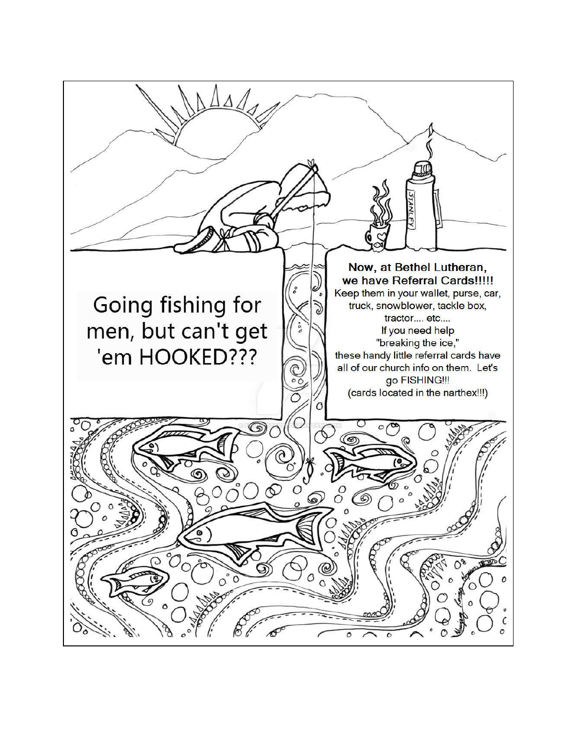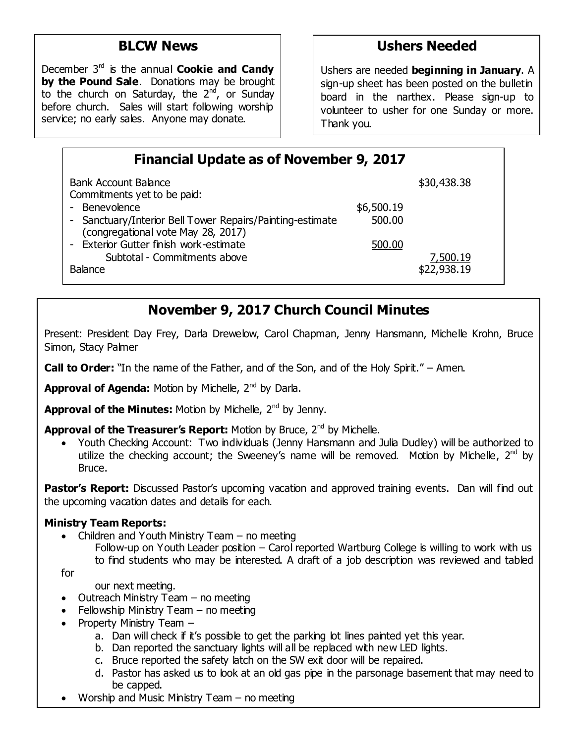# **BLCW News**

 service; no early sales. Anyone may donate. December 3rd is the annual **Cookie and Candy by the Pound Sale**. Donations may be brought to the church on Saturday, the  $2<sup>nd</sup>$ , or Sunday before church. Sales will start following worship

# **Ushers Needed**

Ushers are needed **beginning in January**. A sign-up sheet has been posted on the bulletin board in the narthex. Please sign-up to volunteer to usher for one Sunday or more. Thank you.

| <b>Financial Update as of November 9, 2017</b>                                                                   |                      |                         |  |  |  |  |
|------------------------------------------------------------------------------------------------------------------|----------------------|-------------------------|--|--|--|--|
| <b>Bank Account Balance</b><br>Commitments yet to be paid:                                                       |                      | \$30,438.38             |  |  |  |  |
| - Benevolence<br>- Sanctuary/Interior Bell Tower Repairs/Painting-estimate<br>(congregational vote May 28, 2017) | \$6,500.19<br>500.00 |                         |  |  |  |  |
| - Exterior Gutter finish work-estimate<br>Subtotal - Commitments above<br><b>Balance</b>                         | 500.00               | 7,500.19<br>\$22,938.19 |  |  |  |  |

# **November 9, 2017 Church Council Minutes**

Present: President Day Frey, Darla Drewelow, Carol Chapman, Jenny Hansmann, Michelle Krohn, Bruce Simon, Stacy Palmer

**Call to Order:** "In the name of the Father, and of the Son, and of the Holy Spirit." – Amen.

Approval of Agenda: Motion by Michelle, 2<sup>nd</sup> by Darla.

Approval of the Minutes: Motion by Michelle, 2<sup>nd</sup> by Jenny.

**Approval of the Treasurer's Report:** Motion by Bruce, 2<sup>nd</sup> by Michelle.

Youth Checking Account: Two individuals (Jenny Hansmann and Julia Dudley) will be authorized to utilize the checking account; the Sweeney's name will be removed. Motion by Michelle,  $2^{nd}$  by Bruce.

**Pastor's Report:** Discussed Pastor's upcoming vacation and approved training events. Dan will find out the upcoming vacation dates and details for each.

#### **Ministry Team Reports:**

- Children and Youth Ministry Team  $-$  no meeting
	- Follow-up on Youth Leader position Carol reported Wartburg College is willing to work with us to find students who may be interested. A draft of a job description was reviewed and tabled

for

our next meeting.

- $\bullet$  Outreach Ministry Team no meeting
- $\bullet$  Fellowship Ministry Team no meeting
- Property Ministry Team  $$ 
	- a. Dan will check if it's possible to get the parking lot lines painted yet this year.
	- b. Dan reported the sanctuary lights will all be replaced with new LED lights.
	- c. Bruce reported the safety latch on the SW exit door will be repaired.
	- d. Pastor has asked us to look at an old gas pipe in the parsonage basement that may need to be capped.

 $\overline{\phantom{a}}$ 

Worship and Music Ministry Team – no meeting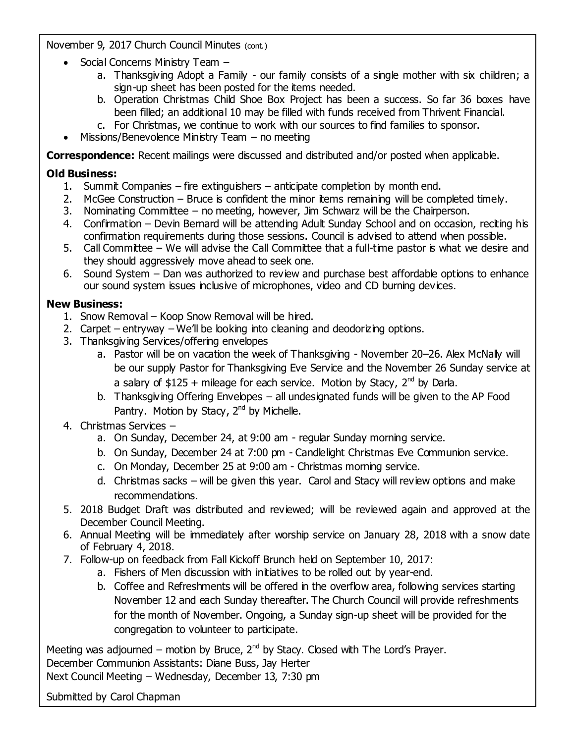November 9, 2017 Church Council Minutes (cont.)

- Social Concerns Ministry Team
	- a. Thanksgiving Adopt a Family our family consists of a single mother with six children; a sign-up sheet has been posted for the items needed.
	- b. Operation Christmas Child Shoe Box Project has been a success. So far 36 boxes have been filled; an additional 10 may be filled with funds received from Thrivent Financial.
	- c. For Christmas, we continue to work with our sources to find families to sponsor.
- $\bullet$  Missions/Benevolence Ministry Team no meeting

**Correspondence:** Recent mailings were discussed and distributed and/or posted when applicable.

#### **Old Business:**

- 1. Summit Companies fire extinguishers anticipate completion by month end.
- 2. McGee Construction Bruce is confident the minor items remaining will be completed timely.
- 3. Nominating Committee no meeting, however, Jim Schwarz will be the Chairperson.
- 4. Confirmation Devin Bernard will be attending Adult Sunday School and on occasion, reciting his confirmation requirements during those sessions. Council is advised to attend when possible.
- 5. Call Committee We will advise the Call Committee that a full-time pastor is what we desire and they should aggressively move ahead to seek one.
- 6. Sound System Dan was authorized to review and purchase best affordable options to enhance our sound system issues inclusive of microphones, video and CD burning devices.

#### **New Business:**

- 1. Snow Removal Koop Snow Removal will be hired.
- 2. Carpet entryway We'll be looking into cleaning and deodorizing options.
- 3. Thanksgiving Services/offering envelopes
	- a. Pastor will be on vacation the week of Thanksgiving November 20–26. Alex McNally will be our supply Pastor for Thanksgiving Eve Service and the November 26 Sunday service at a salary of \$125 + mileage for each service. Motion by Stacy,  $2^{nd}$  by Darla.
	- b. Thanksgiving Offering Envelopes all undesignated funds will be given to the AP Food Pantry. Motion by Stacy, 2<sup>nd</sup> by Michelle.

#### 4. Christmas Services –

- a. On Sunday, December 24, at 9:00 am regular Sunday morning service.
- b. On Sunday, December 24 at 7:00 pm Candlelight Christmas Eve Communion service.
- c. On Monday, December 25 at 9:00 am Christmas morning service.
- d. Christmas sacks will be given this year. Carol and Stacy will review options and make recommendations.
- 5. 2018 Budget Draft was distributed and reviewed; will be reviewed again and approved at the December Council Meeting.
- 6. Annual Meeting will be immediately after worship service on January 28, 2018 with a snow date of February 4, 2018.
- 7. Follow-up on feedback from Fall Kickoff Brunch held on September 10, 2017:
	- a. Fishers of Men discussion with initiatives to be rolled out by year-end.
	- b. Coffee and Refreshments will be offered in the overflow area, following services starting November 12 and each Sunday thereafter. The Church Council will provide refreshments for the month of November. Ongoing, a Sunday sign-up sheet will be provided for the congregation to volunteer to participate.

Meeting was adjourned – motion by Bruce,  $2^{nd}$  by Stacy. Closed with The Lord's Prayer. December Communion Assistants: Diane Buss, Jay Herter

Next Council Meeting – Wednesday, December 13, 7:30 pm

Submitted by Carol Chapman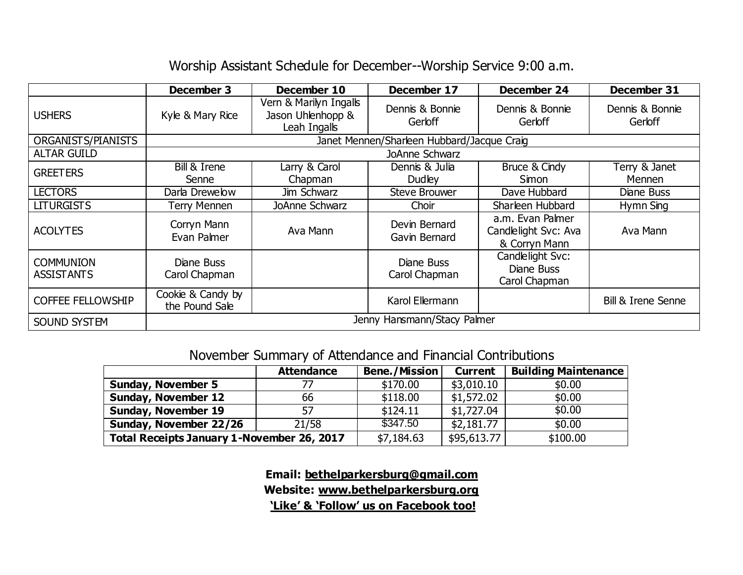# Worship Assistant Schedule for December--Worship Service 9:00 a.m.

|                                       | December 3                                 | December 10                                                 | December 17                    | December 24                                               | December 31                   |
|---------------------------------------|--------------------------------------------|-------------------------------------------------------------|--------------------------------|-----------------------------------------------------------|-------------------------------|
| <b>USHERS</b>                         | Kyle & Mary Rice                           | Vern & Marilyn Ingalls<br>Jason Uhlenhopp &<br>Leah Ingalls | Dennis & Bonnie<br>Gerloff     | Dennis & Bonnie<br>Gerloff                                | Dennis & Bonnie<br>Gerloff    |
| ORGANISTS/PIANISTS                    | Janet Mennen/Sharleen Hubbard/Jacque Craig |                                                             |                                |                                                           |                               |
| <b>ALTAR GUILD</b>                    | JoAnne Schwarz                             |                                                             |                                |                                                           |                               |
| <b>GREETERS</b>                       | Bill & Irene<br>Senne                      | Larry & Carol<br>Chapman                                    | Dennis & Julia<br>Dudley       | Bruce & Cindy<br>Simon                                    | Terry & Janet<br>Mennen       |
| <b>LECTORS</b>                        | Darla Drewelow                             | Jim Schwarz                                                 | <b>Steve Brouwer</b>           | Dave Hubbard                                              | Diane Buss                    |
| <b>LITURGISTS</b>                     | <b>Terry Mennen</b>                        | JoAnne Schwarz                                              | Choir                          | Sharleen Hubbard                                          | Hymn Sing                     |
| <b>ACOLYTES</b>                       | Corryn Mann<br>Evan Palmer                 | Ava Mann                                                    | Devin Bernard<br>Gavin Bernard | a.m. Evan Palmer<br>Candlelight Svc: Ava<br>& Corryn Mann | Ava Mann                      |
| <b>COMMUNION</b><br><b>ASSISTANTS</b> | Diane Buss<br>Carol Chapman                |                                                             | Diane Buss<br>Carol Chapman    | Candlelight Svc:<br>Diane Buss<br>Carol Chapman           |                               |
| <b>COFFEE FELLOWSHIP</b>              | Cookie & Candy by<br>the Pound Sale        |                                                             | Karol Ellermann                |                                                           | <b>Bill &amp; Irene Senne</b> |
| SOUND SYSTEM                          | Jenny Hansmann/Stacy Palmer                |                                                             |                                |                                                           |                               |

# November Summary of Attendance and Financial Contributions

|                                            | <b>Attendance</b> | <b>Bene./Mission</b> | <b>Current</b> | <b>Building Maintenance</b> |
|--------------------------------------------|-------------------|----------------------|----------------|-----------------------------|
| <b>Sunday, November 5</b>                  |                   | \$170.00             | \$3,010.10     | \$0.00                      |
| <b>Sunday, November 12</b>                 | 66                | \$118.00             | \$1,572.02     | \$0.00                      |
| <b>Sunday, November 19</b>                 | 57                | \$124.11             | \$1,727.04     | \$0.00                      |
| Sunday, November 22/26                     | 21/58             | \$347.50             | \$2,181.77     | \$0.00                      |
| Total Receipts January 1-November 26, 2017 |                   | \$7,184.63           | \$95,613.77    | \$100.00                    |

**Email: [bethelparkersburg@gmail.com](mailto:bethelparkersburg@gmail.com) Website: [www.bethelparkersburg.org](http://www.bethelparkersburg.org/) 'Like' & 'Follow' us on Facebook too!**